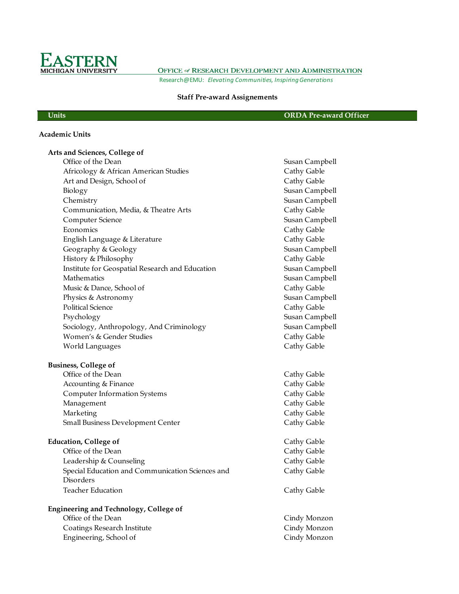

OFFICE of RESEARCH DEVELOPMENT AND ADMINISTRATION Research@EMU: *Elevating Communities, Inspiring Generations*

## **Staff Pre-award Assignements**

#### **Units ORDA Pre-award Officer**

### **Academic Units**

| Arts and Sciences, College of                                 |                |
|---------------------------------------------------------------|----------------|
| Office of the Dean                                            | Susan Campbell |
| Africology & African American Studies                         | Cathy Gable    |
| Art and Design, School of                                     | Cathy Gable    |
| Biology                                                       | Susan Campbell |
| Chemistry                                                     | Susan Campbell |
| Communication, Media, & Theatre Arts                          | Cathy Gable    |
| Computer Science                                              | Susan Campbell |
| Economics                                                     | Cathy Gable    |
| English Language & Literature                                 | Cathy Gable    |
| Geography & Geology                                           | Susan Campbell |
| History & Philosophy                                          | Cathy Gable    |
| Institute for Geospatial Research and Education               | Susan Campbell |
| Mathematics                                                   | Susan Campbell |
| Music & Dance, School of                                      | Cathy Gable    |
| Physics & Astronomy                                           | Susan Campbell |
| Political Science                                             | Cathy Gable    |
| Psychology                                                    | Susan Campbell |
| Sociology, Anthropology, And Criminology                      | Susan Campbell |
| Women's & Gender Studies                                      | Cathy Gable    |
| <b>World Languages</b>                                        | Cathy Gable    |
| <b>Business, College of</b>                                   |                |
| Office of the Dean                                            | Cathy Gable    |
| Accounting & Finance                                          | Cathy Gable    |
| <b>Computer Information Systems</b>                           | Cathy Gable    |
| Management                                                    | Cathy Gable    |
| Marketing                                                     | Cathy Gable    |
| Small Business Development Center                             | Cathy Gable    |
| <b>Education, College of</b>                                  | Cathy Gable    |
| Office of the Dean                                            | Cathy Gable    |
| Leadership & Counseling                                       | Cathy Gable    |
| Special Education and Communication Sciences and<br>Disorders | Cathy Gable    |
| <b>Teacher Education</b>                                      | Cathy Gable    |
| <b>Engineering and Technology, College of</b>                 |                |
| Office of the Dean                                            | Cindy Monzon   |
|                                                               |                |

Coatings Research Institute Cindy Monzon Engineering, School of Cindy Monzon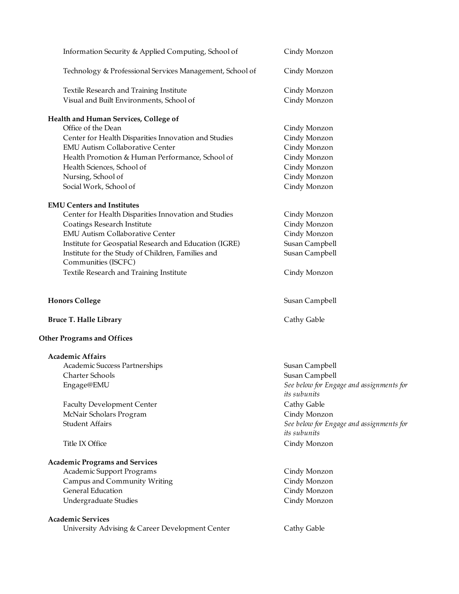| Information Security & Applied Computing, School of                      | Cindy Monzon                                             |
|--------------------------------------------------------------------------|----------------------------------------------------------|
| Technology & Professional Services Management, School of                 | Cindy Monzon                                             |
| Textile Research and Training Institute                                  | Cindy Monzon                                             |
| Visual and Built Environments, School of                                 | Cindy Monzon                                             |
| Health and Human Services, College of                                    |                                                          |
| Office of the Dean                                                       | Cindy Monzon                                             |
| Center for Health Disparities Innovation and Studies                     | Cindy Monzon                                             |
| <b>EMU Autism Collaborative Center</b>                                   | Cindy Monzon                                             |
| Health Promotion & Human Performance, School of                          | Cindy Monzon                                             |
| Health Sciences, School of                                               | Cindy Monzon                                             |
| Nursing, School of                                                       | Cindy Monzon                                             |
| Social Work, School of                                                   | Cindy Monzon                                             |
| <b>EMU Centers and Institutes</b>                                        |                                                          |
| Center for Health Disparities Innovation and Studies                     | Cindy Monzon                                             |
| Coatings Research Institute                                              | Cindy Monzon                                             |
| <b>EMU Autism Collaborative Center</b>                                   | Cindy Monzon                                             |
| Institute for Geospatial Research and Education (IGRE)                   | Susan Campbell                                           |
| Institute for the Study of Children, Families and<br>Communities (ISCFC) | Susan Campbell                                           |
| Textile Research and Training Institute                                  | Cindy Monzon                                             |
| <b>Honors College</b>                                                    | Susan Campbell                                           |
| <b>Bruce T. Halle Library</b>                                            | Cathy Gable                                              |
| <b>Other Programs and Offices</b>                                        |                                                          |
| <b>Academic Affairs</b>                                                  |                                                          |
| Academic Success Partnerships                                            | Susan Campbell                                           |
| Charter Schools                                                          | Susan Campbell                                           |
| Engage@EMU                                                               | See below for Engage and assignments for<br>its subunits |
| <b>Faculty Development Center</b>                                        | Cathy Gable                                              |
| McNair Scholars Program                                                  | Cindy Monzon                                             |
| <b>Student Affairs</b>                                                   | See below for Engage and assignments for                 |
|                                                                          | its subunits                                             |
| Title IX Office                                                          | Cindy Monzon                                             |
| <b>Academic Programs and Services</b>                                    |                                                          |
| Academic Support Programs                                                | Cindy Monzon                                             |
| Campus and Community Writing                                             | Cindy Monzon                                             |
| <b>General Education</b>                                                 | Cindy Monzon                                             |
| Undergraduate Studies                                                    | Cindy Monzon                                             |
| <b>Academic Services</b>                                                 |                                                          |
| University Advising & Career Development Center                          | Cathy Gable                                              |
|                                                                          |                                                          |